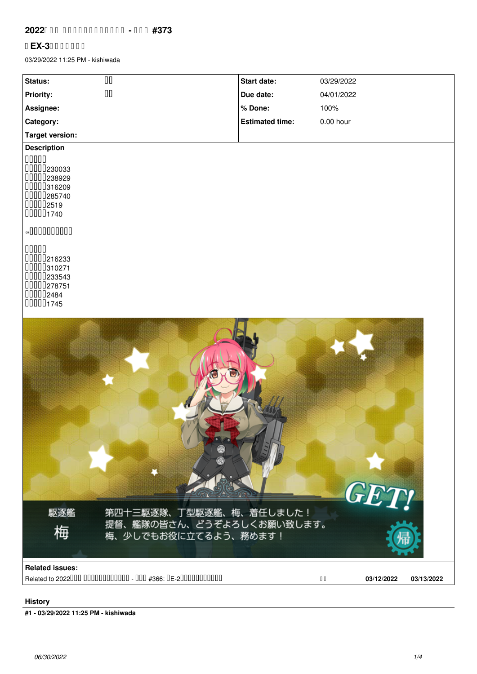## **2022**000 0000000000000 - 000 #373

## **【EX-3】梅掘り(乙)**

03/29/2022 11:25 PM - kishiwada

| Status:                                                                                    | $\Box\Box$                                                                   | Start date:            | 03/29/2022                               |
|--------------------------------------------------------------------------------------------|------------------------------------------------------------------------------|------------------------|------------------------------------------|
| Priority:                                                                                  | $\Box\Box$                                                                   | Due date:              | 04/01/2022                               |
| Assignee:                                                                                  |                                                                              | % Done:                | 100%                                     |
| Category:                                                                                  |                                                                              | <b>Estimated time:</b> | $0.00$ hour                              |
| <b>Target version:</b>                                                                     |                                                                              |                        |                                          |
| <b>Description</b>                                                                         |                                                                              |                        |                                          |
| 00000<br>0000230033<br>0000238929<br>00000316209<br>0000285740<br>000002519<br>000001740   |                                                                              |                        |                                          |
| ${\bf *0}000000000$                                                                        |                                                                              |                        |                                          |
| 00000<br>00000216233<br>00000310271<br>00000233543<br>0000278751<br>000002484<br>000001745 |                                                                              |                        |                                          |
| 駆逐艦<br>梅                                                                                   | 第四十三駆逐隊、丁型駆逐艦、梅、着任しました!<br>提督、艦隊の皆さん、どうぞよろしくお願い致します。<br>梅、少しでもお役に立てるよう、務めます! |                        | <b>GET!</b>                              |
| <b>Related issues:</b>                                                                     | Related to 2022000 000000000000 - 000 #366: DE-200000000000                  |                        | 03/12/2022<br>03/13/2022<br>$\hfill\Box$ |
|                                                                                            |                                                                              |                        |                                          |

## **History**

**#1 - 03/29/2022 11:25 PM - kishiwada**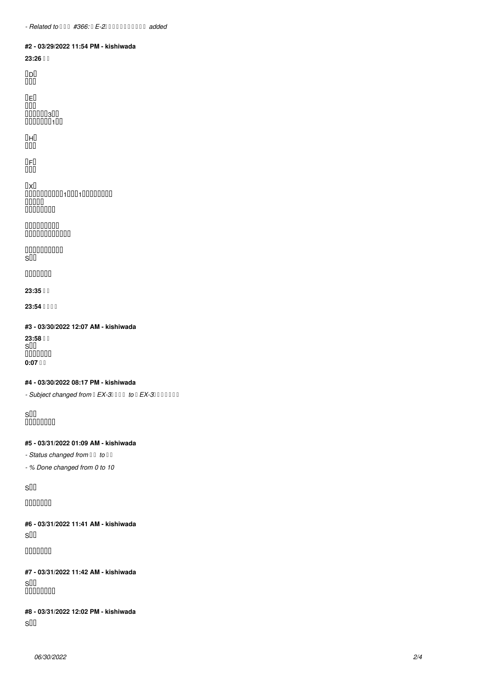#### **#2 - 03/29/2022 11:54 PM - kishiwada**

**23:26 出撃**

【D】 単横陣

【E】

 $\Box \Box \Box$ 航空戦で駆逐3撃沈 UUUUUU1UU

【H】 単横陣

【F】

ши

【X】 基地航空隊により軽巡1、駆逐1撃沈、軽空母中破 軽空母撃沈 開幕雷撃で竹大破

00000000 ボスによりビスマルク中破

 $000000000$ S勝利

000000

**23:35 帰投**

**23:54 0000** 

**#3 - 03/30/2022 12:07 AM - kishiwada**

**23:58 III** s 000000 **0:07 µ** 

#### **#4 - 03/30/2022 08:17 PM - kishiwada**

- Subject changed from **EX-3** 000 to **EX-3** 00000

SUU 0000000

#### **#5 - 03/31/2022 01:09 AM - kishiwada**

**- Status changed from II to II** 

*- % Done changed from 0 to 10*

S勝利

000000

**#6 - 03/31/2022 11:41 AM - kishiwada** S勝利

000000

**#7 - 03/31/2022 11:42 AM - kishiwada** SUU 0000000

# **#8 - 03/31/2022 12:02 PM - kishiwada**

S勝利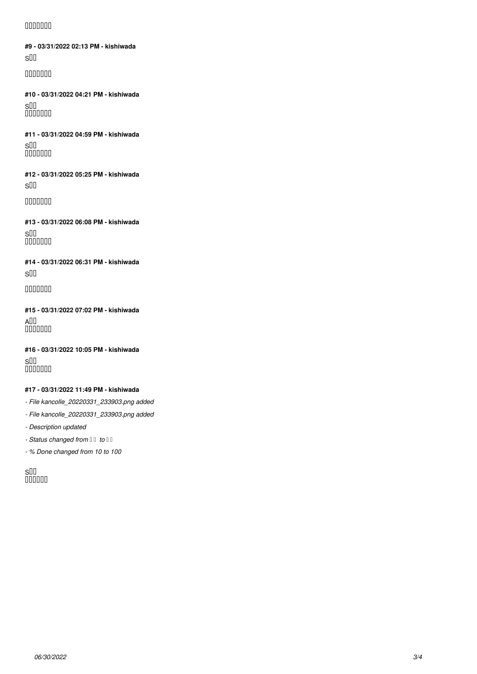## 000000

**#9 - 03/31/2022 02:13 PM - kishiwada** S勝利

000000

**#10 - 03/31/2022 04:21 PM - kishiwada** SUU 000000

**#11 - 03/31/2022 04:59 PM - kishiwada** SUU 000000

**#12 - 03/31/2022 05:25 PM - kishiwada** S勝利

0000000

**#13 - 03/31/2022 06:08 PM - kishiwada** SUU 000000

**#14 - 03/31/2022 06:31 PM - kishiwada** S勝利

0000000

**#15 - 03/31/2022 07:02 PM - kishiwada** A  $100000$ 

**#16 - 03/31/2022 10:05 PM - kishiwada** SUU 000000

## **#17 - 03/31/2022 11:49 PM - kishiwada**

*- File kancolle\_20220331\_233903.png added*

*- File kancolle\_20220331\_233903.png added*

*- Description updated*

**- Status changed from II to II** 

*- % Done changed from 10 to 100*

SUU uuuuu